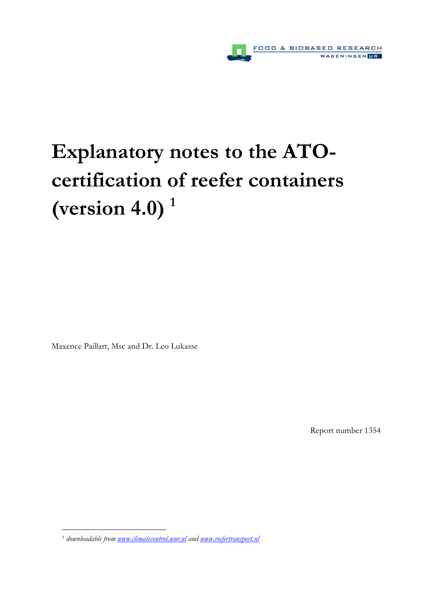

# **Explanatory notes to the ATOcertification of reefer containers (version 4.0) <sup>1</sup>**

Maxence Paillart, Msc and Dr. Leo Lukasse

 $\overline{a}$ 

Report number 1354

<sup>&</sup>lt;sup>1</sup> downloadable from <u>www.climatecontrol.wur.nl</u> and <u>www.reefertransport.nl</u>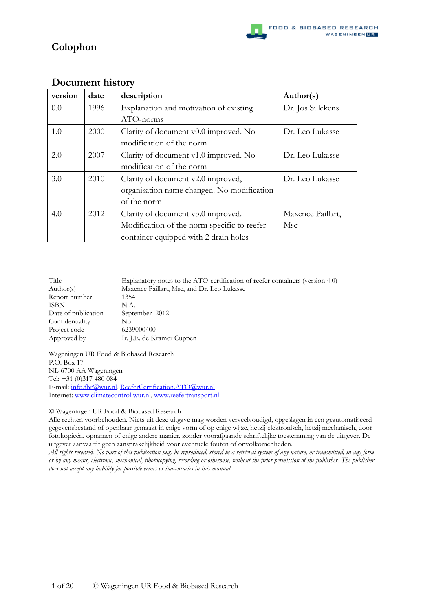# **Colophon**

| version | date | description                                 | Author(s)         |
|---------|------|---------------------------------------------|-------------------|
| 0.0     | 1996 | Explanation and motivation of existing      | Dr. Jos Sillekens |
|         |      | ATO-norms                                   |                   |
| 1.0     | 2000 | Clarity of document v0.0 improved. No       | Dr. Leo Lukasse   |
|         |      | modification of the norm                    |                   |
| 2.0     | 2007 | Clarity of document v1.0 improved. No       | Dr. Leo Lukasse   |
|         |      | modification of the norm                    |                   |
| 3.0     | 2010 | Clarity of document v2.0 improved,          | Dr. Leo Lukasse   |
|         |      | organisation name changed. No modification  |                   |
|         |      | of the norm                                 |                   |
| 4.0     | 2012 | Clarity of document v3.0 improved.          | Maxence Paillart, |
|         |      | Modification of the norm specific to reefer | Msc               |
|         |      | container equipped with 2 drain holes       |                   |

## **Document history**

| Title               | Explanatory notes to the ATO-certification of reefer containers (version 4.0) |
|---------------------|-------------------------------------------------------------------------------|
| Author(s)           | Maxence Paillart, Msc, and Dr. Leo Lukasse                                    |
| Report number       | 1354                                                                          |
| <b>ISBN</b>         | N.A.                                                                          |
| Date of publication | September 2012                                                                |
| Confidentiality     | No                                                                            |
| Project code        | 6239000400                                                                    |
| Approved by         | Ir. J.E. de Kramer Cuppen                                                     |
|                     |                                                                               |

Wageningen UR Food & Biobased Research P.O. Box 17 NL-6700 AA Wageningen Tel: +31 (0)317 480 084 E-mail: info.fbr@wur.nl, ReeferCertification.ATO@wur.nl Internet: www.climatecontrol.wur.nl, www.reefertransport.nl

© Wageningen UR Food & Biobased Research

Alle rechten voorbehouden. Niets uit deze uitgave mag worden verveelvoudigd, opgeslagen in een geautomatiseerd gegevensbestand of openbaar gemaakt in enige vorm of op enige wijze, hetzij elektronisch, hetzij mechanisch, door fotokopieën, opnamen of enige andere manier, zonder voorafgaande schriftelijke toestemming van de uitgever. De uitgever aanvaardt geen aansprakelijkheid voor eventuele fouten of onvolkomenheden.

*All rights reserved. No part of this publication may be reproduced, stored in a retrieval system of any nature, or transmitted, in any form or by any means, electronic, mechanical, photocopying, recording or otherwise, without the prior permission of the publisher. The publisher does not accept any liability for possible errors or inaccuracies in this manual.*

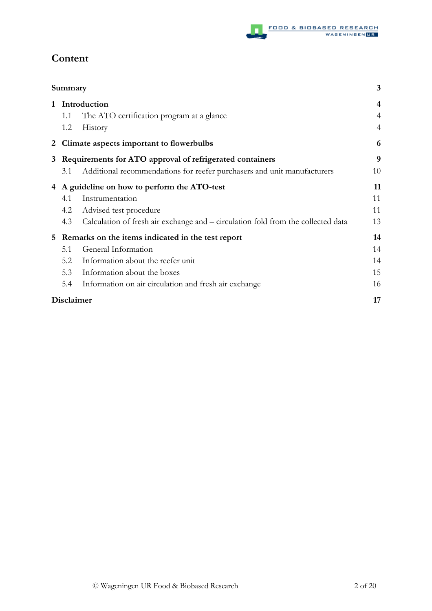

# **Content**

|              | Summary    |                                                                                  | 3              |
|--------------|------------|----------------------------------------------------------------------------------|----------------|
| $\mathbf{1}$ |            | Introduction                                                                     | $\overline{4}$ |
|              | 1.1        | The ATO certification program at a glance                                        | 4              |
|              | 1.2        | History                                                                          | $\overline{4}$ |
|              |            | 2 Climate aspects important to flowerbulbs                                       | 6              |
|              |            | 3 Requirements for ATO approval of refrigerated containers                       | 9              |
|              | 3.1        | Additional recommendations for reefer purchasers and unit manufacturers          | 10             |
|              |            | 4 A guideline on how to perform the ATO-test                                     | 11             |
|              | 4.1        | Instrumentation                                                                  | 11             |
|              | 4.2        | Advised test procedure                                                           | 11             |
|              | 4.3        | Calculation of fresh air exchange and – circulation fold from the collected data | 13             |
| $5^{\circ}$  |            | Remarks on the items indicated in the test report                                | 14             |
|              | 5.1        | General Information                                                              | 14             |
|              | 5.2        | Information about the reefer unit                                                | 14             |
|              | 5.3        | Information about the boxes                                                      | 15             |
|              | 5.4        | Information on air circulation and fresh air exchange                            | 16             |
|              | Disclaimer |                                                                                  | 17             |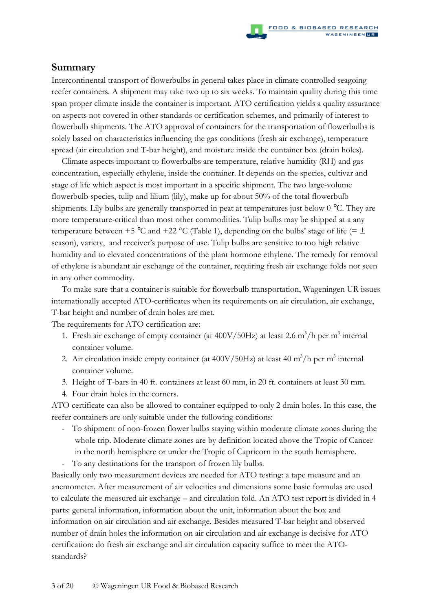## **Summary**

Intercontinental transport of flowerbulbs in general takes place in climate controlled seagoing reefer containers. A shipment may take two up to six weeks. To maintain quality during this time span proper climate inside the container is important. ATO certification yields a quality assurance on aspects not covered in other standards or certification schemes, and primarily of interest to flowerbulb shipments. The ATO approval of containers for the transportation of flowerbulbs is solely based on characteristics influencing the gas conditions (fresh air exchange), temperature spread (air circulation and T-bar height), and moisture inside the container box (drain holes).

Climate aspects important to flowerbulbs are temperature, relative humidity (RH) and gas concentration, especially ethylene, inside the container. It depends on the species, cultivar and stage of life which aspect is most important in a specific shipment. The two large-volume flowerbulb species, tulip and lilium (lily), make up for about 50% of the total flowerbulb shipments. Lily bulbs are generally transported in peat at temperatures just below 0 °C. They are more temperature-critical than most other commodities. Tulip bulbs may be shipped at a any temperature between +5 °C and +22 °C (Table 1), depending on the bulbs' stage of life (=  $\pm$ season), variety, and receiver's purpose of use. Tulip bulbs are sensitive to too high relative humidity and to elevated concentrations of the plant hormone ethylene. The remedy for removal of ethylene is abundant air exchange of the container, requiring fresh air exchange folds not seen in any other commodity.

To make sure that a container is suitable for flowerbulb transportation, Wageningen UR issues internationally accepted ATO-certificates when its requirements on air circulation, air exchange, T-bar height and number of drain holes are met.

The requirements for ATO certification are:

- 1. Fresh air exchange of empty container (at  $400V/50Hz$ ) at least 2.6 m<sup>3</sup>/h per m<sup>3</sup> internal container volume.
- 2. Air circulation inside empty container (at  $400V/50Hz$ ) at least  $40 \text{ m}^3/\text{h}$  per m<sup>3</sup> internal container volume.
- 3. Height of T-bars in 40 ft. containers at least 60 mm, in 20 ft. containers at least 30 mm.
- 4. Four drain holes in the corners.

ATO certificate can also be allowed to container equipped to only 2 drain holes. In this case, the reefer containers are only suitable under the following conditions:

- To shipment of non-frozen flower bulbs staying within moderate climate zones during the whole trip. Moderate climate zones are by definition located above the Tropic of Cancer in the north hemisphere or under the Tropic of Capricorn in the south hemisphere.

- To any destinations for the transport of frozen lily bulbs.

Basically only two measurement devices are needed for ATO testing: a tape measure and an anemometer. After measurement of air velocities and dimensions some basic formulas are used to calculate the measured air exchange – and circulation fold. An ATO test report is divided in 4 parts: general information, information about the unit, information about the box and information on air circulation and air exchange. Besides measured T-bar height and observed number of drain holes the information on air circulation and air exchange is decisive for ATO certification: do fresh air exchange and air circulation capacity suffice to meet the ATOstandards?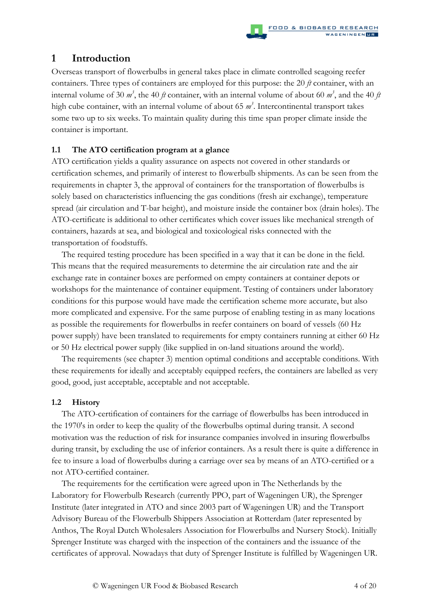## **1 Introduction**

Overseas transport of flowerbulbs in general takes place in climate controlled seagoing reefer containers. Three types of containers are employed for this purpose: the 20 *ft* container, with an internal volume of 30  $m^3$ , the 40  $ft$  container, with an internal volume of about 60  $m^3$ , and the 40  $ft$ high cube container, with an internal volume of about 65 *m 3* . Intercontinental transport takes some two up to six weeks. To maintain quality during this time span proper climate inside the container is important.

## **1.1 The ATO certification program at a glance**

ATO certification yields a quality assurance on aspects not covered in other standards or certification schemes, and primarily of interest to flowerbulb shipments. As can be seen from the requirements in chapter 3, the approval of containers for the transportation of flowerbulbs is solely based on characteristics influencing the gas conditions (fresh air exchange), temperature spread (air circulation and T-bar height), and moisture inside the container box (drain holes). The ATO-certificate is additional to other certificates which cover issues like mechanical strength of containers, hazards at sea, and biological and toxicological risks connected with the transportation of foodstuffs.

The required testing procedure has been specified in a way that it can be done in the field. This means that the required measurements to determine the air circulation rate and the air exchange rate in container boxes are performed on empty containers at container depots or workshops for the maintenance of container equipment. Testing of containers under laboratory conditions for this purpose would have made the certification scheme more accurate, but also more complicated and expensive. For the same purpose of enabling testing in as many locations as possible the requirements for flowerbulbs in reefer containers on board of vessels (60 Hz power supply) have been translated to requirements for empty containers running at either 60 Hz or 50 Hz electrical power supply (like supplied in on-land situations around the world).

The requirements (see chapter 3) mention optimal conditions and acceptable conditions. With these requirements for ideally and acceptably equipped reefers, the containers are labelled as very good, good, just acceptable, acceptable and not acceptable.

## **1.2 History**

The ATO-certification of containers for the carriage of flowerbulbs has been introduced in the 1970's in order to keep the quality of the flowerbulbs optimal during transit. A second motivation was the reduction of risk for insurance companies involved in insuring flowerbulbs during transit, by excluding the use of inferior containers. As a result there is quite a difference in fee to insure a load of flowerbulbs during a carriage over sea by means of an ATO-certified or a not ATO-certified container.

The requirements for the certification were agreed upon in The Netherlands by the Laboratory for Flowerbulb Research (currently PPO, part of Wageningen UR), the Sprenger Institute (later integrated in ATO and since 2003 part of Wageningen UR) and the Transport Advisory Bureau of the Flowerbulb Shippers Association at Rotterdam (later represented by Anthos, The Royal Dutch Wholesalers Association for Flowerbulbs and Nursery Stock). Initially Sprenger Institute was charged with the inspection of the containers and the issuance of the certificates of approval. Nowadays that duty of Sprenger Institute is fulfilled by Wageningen UR.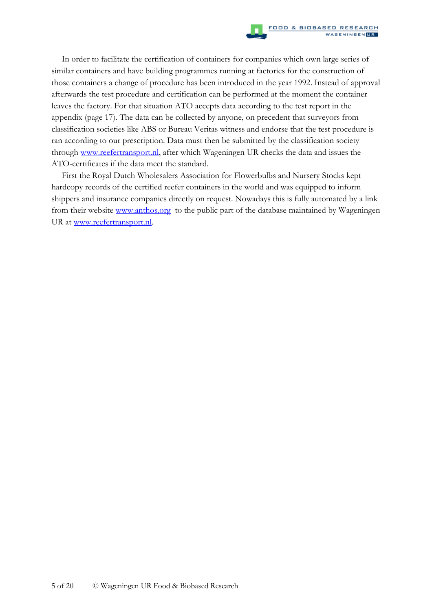In order to facilitate the certification of containers for companies which own large series of similar containers and have building programmes running at factories for the construction of those containers a change of procedure has been introduced in the year 1992. Instead of approval afterwards the test procedure and certification can be performed at the moment the container leaves the factory. For that situation ATO accepts data according to the test report in the appendix (page 17). The data can be collected by anyone, on precedent that surveyors from classification societies like ABS or Bureau Veritas witness and endorse that the test procedure is ran according to our prescription. Data must then be submitted by the classification society through www.reefertransport.nl, after which Wageningen UR checks the data and issues the ATO-certificates if the data meet the standard.

First the Royal Dutch Wholesalers Association for Flowerbulbs and Nursery Stocks kept hardcopy records of the certified reefer containers in the world and was equipped to inform shippers and insurance companies directly on request. Nowadays this is fully automated by a link from their website www.anthos.org to the public part of the database maintained by Wageningen UR at www.reefertransport.nl.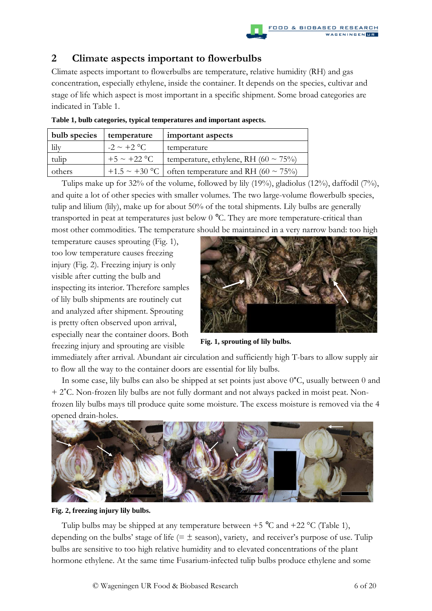

## **2 Climate aspects important to flowerbulbs**

Climate aspects important to flowerbulbs are temperature, relative humidity (RH) and gas concentration, especially ethylene, inside the container. It depends on the species, cultivar and stage of life which aspect is most important in a specific shipment. Some broad categories are indicated in Table 1.

| bulb species | temperature      | important aspects                                   |
|--------------|------------------|-----------------------------------------------------|
| lily         | $-2 \sim +2$ °C  | temperature                                         |
| tulip        | $+5 \sim +22$ °C | temperature, ethylene, RH (60 $\sim$ 75%)           |
| others       |                  | +1.5 ~ +30 °C   often temperature and RH (60 ~ 75%) |

**Table 1, bulb categories, typical temperatures and important aspects.** 

Tulips make up for 32% of the volume, followed by lily (19%), gladiolus (12%), daffodil (7%), and quite a lot of other species with smaller volumes. The two large-volume flowerbulb species, tulip and lilium (lily), make up for about 50% of the total shipments. Lily bulbs are generally transported in peat at temperatures just below 0 °C. They are more temperature-critical than most other commodities. The temperature should be maintained in a very narrow band: too high

temperature causes sprouting (Fig. 1), too low temperature causes freezing injury (Fig. 2). Freezing injury is only visible after cutting the bulb and inspecting its interior. Therefore samples of lily bulb shipments are routinely cut and analyzed after shipment. Sprouting is pretty often observed upon arrival, especially near the container doors. Both freezing injury and sprouting are visible



**Fig. 1, sprouting of lily bulbs.** 

immediately after arrival. Abundant air circulation and sufficiently high T-bars to allow supply air to flow all the way to the container doors are essential for lily bulbs.

In some case, lily bulbs can also be shipped at set points just above 0°C, usually between 0 and + 2˚C. Non-frozen lily bulbs are not fully dormant and not always packed in moist peat. Nonfrozen lily bulbs mays till produce quite some moisture. The excess moisture is removed via the 4 opened drain-holes.



**Fig. 2, freezing injury lily bulbs.** 

Tulip bulbs may be shipped at any temperature between  $+5$  °C and  $+22$  °C (Table 1), depending on the bulbs' stage of life ( $=\pm$  season), variety, and receiver's purpose of use. Tulip bulbs are sensitive to too high relative humidity and to elevated concentrations of the plant hormone ethylene. At the same time Fusarium-infected tulip bulbs produce ethylene and some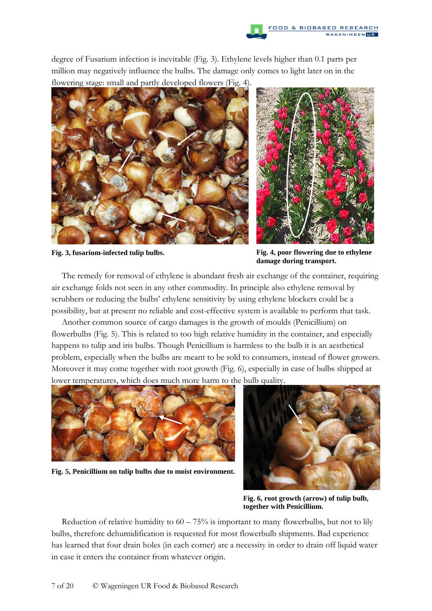

degree of Fusarium infection is inevitable (Fig. 3). Ethylene levels higher than 0.1 parts per million may negatively influence the bulbs. The damage only comes to light later on in the flowering stage: small and partly developed flowers (Fig. 4).





**Fig. 3, fusarium-infected tulip bulbs. Fig. 4, poor flowering due to ethylene damage during transport.** 

The remedy for removal of ethylene is abundant fresh air exchange of the container, requiring air exchange folds not seen in any other commodity. In principle also ethylene removal by scrubbers or reducing the bulbs' ethylene sensitivity by using ethylene blockers could be a possibility, but at present no reliable and cost-effective system is available to perform that task.

Another common source of cargo damages is the growth of moulds (Penicillium) on flowerbulbs (Fig. 5). This is related to too high relative humidity in the container, and especially happens to tulip and iris bulbs. Though Penicillium is harmless to the bulb it is an aesthetical problem, especially when the bulbs are meant to be sold to consumers, instead of flower growers. Moreover it may come together with root growth (Fig. 6), especially in case of bulbs shipped at lower temperatures, which does much more harm to the bulb quality.



**Fig. 5, Penicillium on tulip bulbs due to moist environment.** 



**Fig. 6, root growth (arrow) of tulip bulb, together with Penicillium.** 

Reduction of relative humidity to  $60 - 75\%$  is important to many flowerbulbs, but not to lily bulbs, therefore dehumidification is requested for most flowerbulb shipments. Bad experience has learned that four drain holes (in each corner) are a necessity in order to drain off liquid water in case it enters the container from whatever origin.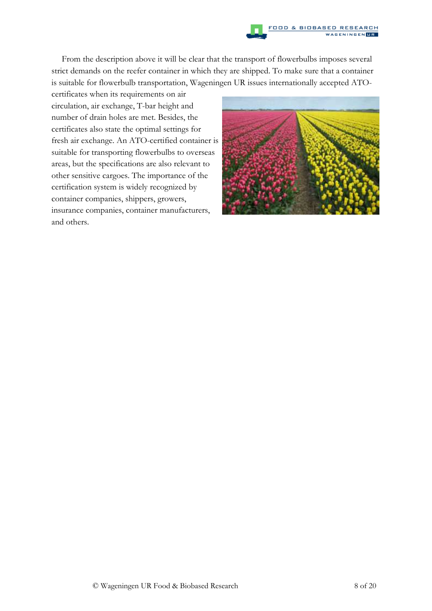

From the description above it will be clear that the transport of flowerbulbs imposes several strict demands on the reefer container in which they are shipped. To make sure that a container is suitable for flowerbulb transportation, Wageningen UR issues internationally accepted ATO-

certificates when its requirements on air circulation, air exchange, T-bar height and number of drain holes are met. Besides, the certificates also state the optimal settings for fresh air exchange. An ATO-certified container is suitable for transporting flowerbulbs to overseas areas, but the specifications are also relevant to other sensitive cargoes. The importance of the certification system is widely recognized by container companies, shippers, growers, insurance companies, container manufacturers, and others.

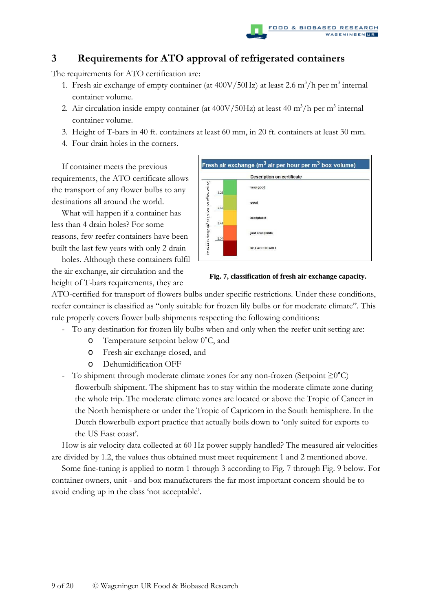

## **3 Requirements for ATO approval of refrigerated containers**

The requirements for ATO certification are:

- 1. Fresh air exchange of empty container (at  $400V/50Hz$ ) at least 2.6 m<sup>3</sup>/h per m<sup>3</sup> internal container volume.
- 2. Air circulation inside empty container (at  $400V/50Hz$ ) at least  $40 \text{ m}^3/\text{h}$  per m<sup>3</sup> internal container volume.
- 3. Height of T-bars in 40 ft. containers at least 60 mm, in 20 ft. containers at least 30 mm.
- 4. Four drain holes in the corners.

If container meets the previous requirements, the ATO certificate allows the transport of any flower bulbs to any destinations all around the world.

What will happen if a container has less than 4 drain holes? For some reasons, few reefer containers have been built the last few years with only 2 drain

holes. Although these containers fulfil the air exchange, air circulation and the height of T-bars requirements, they are



**Fig. 7, classification of fresh air exchange capacity.** 

ATO-certified for transport of flowers bulbs under specific restrictions. Under these conditions, reefer container is classified as "only suitable for frozen lily bulbs or for moderate climate". This rule properly covers flower bulb shipments respecting the following conditions:

- To any destination for frozen lily bulbs when and only when the reefer unit setting are:
	- o Temperature setpoint below 0˚C, and
	- o Fresh air exchange closed, and
	- o Dehumidification OFF
- To shipment through moderate climate zones for any non-frozen (Setpoint ≥0°C) flowerbulb shipment. The shipment has to stay within the moderate climate zone during the whole trip. The moderate climate zones are located or above the Tropic of Cancer in the North hemisphere or under the Tropic of Capricorn in the South hemisphere. In the Dutch flowerbulb export practice that actually boils down to 'only suited for exports to the US East coast'.

How is air velocity data collected at 60 Hz power supply handled? The measured air velocities are divided by 1.2, the values thus obtained must meet requirement 1 and 2 mentioned above.

Some fine-tuning is applied to norm 1 through 3 according to Fig. 7 through Fig. 9 below. For container owners, unit - and box manufacturers the far most important concern should be to avoid ending up in the class 'not acceptable'.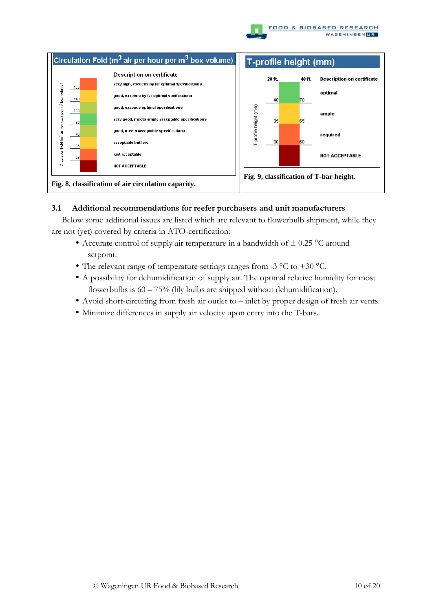



## **3.1 Additional recommendations for reefer purchasers and unit manufacturers**

Below some additional issues are listed which are relevant to flowerbulb shipment, while they are not (yet) covered by criteria in ATO-certification:

- Accurate control of supply air temperature in a bandwidth of  $\pm$  0.25 °C around setpoint.
- The relevant range of temperature settings ranges from -3  $^{\circ}$ C to +30  $^{\circ}$ C.
- A possibility for dehumidification of supply air. The optimal relative humidity for most flowerbulbs is  $60 - 75\%$  (lily bulbs are shipped without dehumidification).
- Avoid short-circuiting from fresh air outlet to inlet by proper design of fresh air vents.
- Minimize differences in supply air velocity upon entry into the T-bars.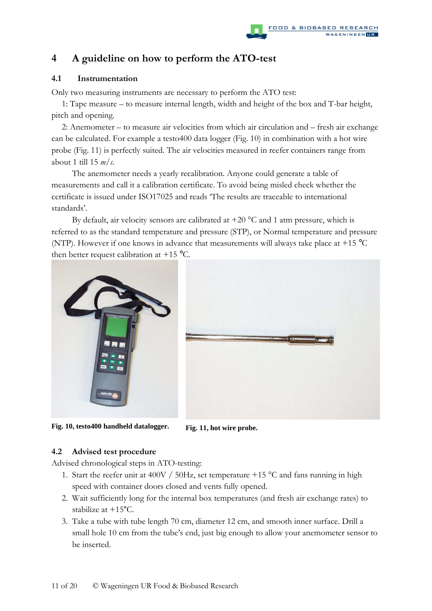## **4 A guideline on how to perform the ATO-test**

## **4.1 Instrumentation**

Only two measuring instruments are necessary to perform the ATO test:

1: Tape measure – to measure internal length, width and height of the box and T-bar height, pitch and opening.

 2: Anemometer – to measure air velocities from which air circulation and – fresh air exchange can be calculated. For example a testo400 data logger (Fig. 10) in combination with a hot wire probe (Fig. 11) is perfectly suited. The air velocities measured in reefer containers range from about 1 till 15 *m/s*.

The anemometer needs a yearly recalibration. Anyone could generate a table of measurements and call it a calibration certificate. To avoid being misled check whether the certificate is issued under ISO17025 and reads 'The results are traceable to international standards'.

By default, air velocity sensors are calibrated at  $+20\degree$ C and 1 atm pressure, which is referred to as the standard temperature and pressure (STP), or Normal temperature and pressure (NTP). However if one knows in advance that measurements will always take place at +15 °C then better request calibration at  $+15$  °C.





**Fig. 10, testo400 handheld datalogger. Fig. 11, hot wire probe.** 

#### **4.2 Advised test procedure**

Advised chronological steps in ATO-testing:

- 1. Start the reefer unit at 400V / 50Hz, set temperature +15  $^{\circ}$ C and fans running in high speed with container doors closed and vents fully opened.
- 2. Wait sufficiently long for the internal box temperatures (and fresh air exchange rates) to stabilize at +15°C.
- 3. Take a tube with tube length 70 cm, diameter 12 cm, and smooth inner surface. Drill a small hole 10 cm from the tube's end, just big enough to allow your anemometer sensor to be inserted.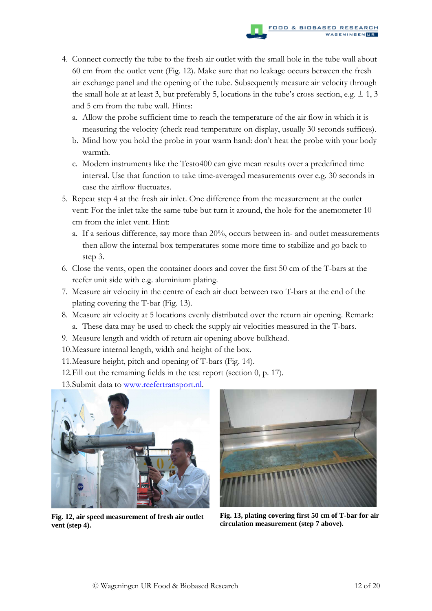- 4. Connect correctly the tube to the fresh air outlet with the small hole in the tube wall about 60 cm from the outlet vent (Fig. 12). Make sure that no leakage occurs between the fresh air exchange panel and the opening of the tube. Subsequently measure air velocity through the small hole at at least 3, but preferably 5, locations in the tube's cross section, e.g.  $\pm$  1, 3 and 5 cm from the tube wall. Hints:
	- a. Allow the probe sufficient time to reach the temperature of the air flow in which it is measuring the velocity (check read temperature on display, usually 30 seconds suffices).
	- b. Mind how you hold the probe in your warm hand: don't heat the probe with your body warmth*.*
	- c. Modern instruments like the Testo400 can give mean results over a predefined time interval. Use that function to take time-averaged measurements over e.g. 30 seconds in case the airflow fluctuates.
- 5. Repeat step 4 at the fresh air inlet. One difference from the measurement at the outlet vent: For the inlet take the same tube but turn it around, the hole for the anemometer 10 cm from the inlet vent. Hint:
	- a. If a serious difference, say more than 20%, occurs between in- and outlet measurements then allow the internal box temperatures some more time to stabilize and go back to step 3.
- 6. Close the vents, open the container doors and cover the first 50 cm of the T-bars at the reefer unit side with e.g. aluminium plating.
- 7. Measure air velocity in the centre of each air duct between two T-bars at the end of the plating covering the T-bar (Fig. 13).
- 8. Measure air velocity at 5 locations evenly distributed over the return air opening. Remark: a. These data may be used to check the supply air velocities measured in the T-bars.
- 9. Measure length and width of return air opening above bulkhead.
- 10.Measure internal length, width and height of the box.
- 11.Measure height, pitch and opening of T-bars (Fig. 14).
- 12.Fill out the remaining fields in the test report (section 0, p. 17).
- 13.Submit data to www.reefertransport.nl.



**Fig. 12, air speed measurement of fresh air outlet vent (step 4).** 



**Fig. 13, plating covering first 50 cm of T-bar for air circulation measurement (step 7 above).**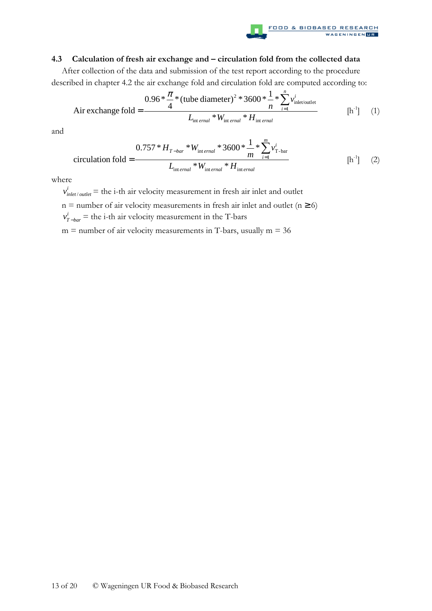

#### **4.3 Calculation of fresh air exchange and – circulation fold from the collected data**

After collection of the data and submission of the test report according to the procedure described in chapter 4.2 the air exchange fold and circulation fold are computed according to:

$$
\text{Air exchange fold} = \frac{0.96 * \frac{\pi}{4} * (\text{tube diameter})^2 * 3600 * \frac{1}{n} * \sum_{i=1}^{n} v_{\text{inlet/outlet}}^i}{L_{\text{int ernal}} * W_{\text{int ernal}} * H_{\text{int ernal}}}
$$
 [h<sup>-1</sup>] (1)

and

$$
\text{circulation fold} = \frac{0.757 \times H_{T-bar} \times W_{\text{int ernal}} \times 3600 \times \frac{1}{m} \times \sum_{i=1}^{m} v_{T-bar}^{i}}{L_{\text{int ernal}} \times W_{\text{int ernal}} \times H_{\text{int ernal}}}
$$
 [h<sup>-1</sup>] (2)

where

 $v_{\text{inlet}/\text{outlet}}^i$  = the i-th air velocity measurement in fresh air inlet and outlet  $n =$  number of air velocity measurements in fresh air inlet and outlet ( $n \ge 6$ )  $v_{T-bar}^i$  = the i-th air velocity measurement in the T-bars

 $m =$  number of air velocity measurements in T-bars, usually  $m = 36$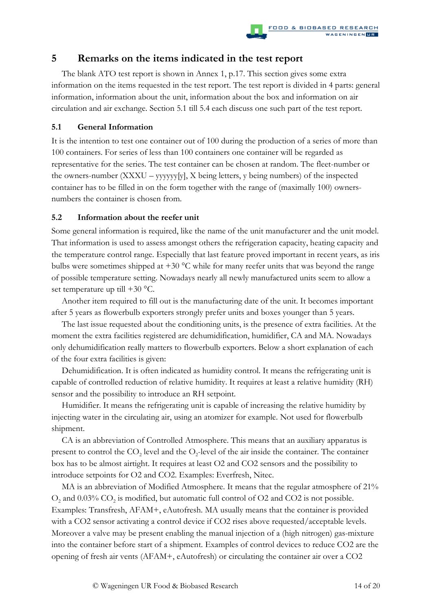## **5 Remarks on the items indicated in the test report**

The blank ATO test report is shown in Annex 1, p.17. This section gives some extra information on the items requested in the test report. The test report is divided in 4 parts: general information, information about the unit, information about the box and information on air circulation and air exchange. Section 5.1 till 5.4 each discuss one such part of the test report.

## **5.1 General Information**

It is the intention to test one container out of 100 during the production of a series of more than 100 containers. For series of less than 100 containers one container will be regarded as representative for the series. The test container can be chosen at random. The fleet-number or the owners-number (XXXU – yyyyyy[y], X being letters, y being numbers) of the inspected container has to be filled in on the form together with the range of (maximally 100) ownersnumbers the container is chosen from.

## **5.2 Information about the reefer unit**

Some general information is required, like the name of the unit manufacturer and the unit model. That information is used to assess amongst others the refrigeration capacity, heating capacity and the temperature control range. Especially that last feature proved important in recent years, as iris bulbs were sometimes shipped at  $+30$  °C while for many reefer units that was beyond the range of possible temperature setting. Nowadays nearly all newly manufactured units seem to allow a set temperature up till +30 °C.

Another item required to fill out is the manufacturing date of the unit. It becomes important after 5 years as flowerbulb exporters strongly prefer units and boxes younger than 5 years.

The last issue requested about the conditioning units, is the presence of extra facilities. At the moment the extra facilities registered are dehumidification, humidifier, CA and MA. Nowadays only dehumidification really matters to flowerbulb exporters. Below a short explanation of each of the four extra facilities is given:

Dehumidification. It is often indicated as humidity control. It means the refrigerating unit is capable of controlled reduction of relative humidity. It requires at least a relative humidity (RH) sensor and the possibility to introduce an RH setpoint.

Humidifier. It means the refrigerating unit is capable of increasing the relative humidity by injecting water in the circulating air, using an atomizer for example. Not used for flowerbulb shipment.

CA is an abbreviation of Controlled Atmosphere. This means that an auxiliary apparatus is present to control the  $CO_2$  level and the  $O_2$ -level of the air inside the container. The container box has to be almost airtight. It requires at least O2 and CO2 sensors and the possibility to introduce setpoints for O2 and CO2. Examples: Everfresh, Nitec.

MA is an abbreviation of Modified Atmosphere. It means that the regular atmosphere of 21%  $O_2$  and 0.03%  $CO_2$  is modified, but automatic full control of O2 and CO2 is not possible. Examples: Transfresh, AFAM+, eAutofresh. MA usually means that the container is provided with a CO2 sensor activating a control device if CO2 rises above requested/acceptable levels. Moreover a valve may be present enabling the manual injection of a (high nitrogen) gas-mixture into the container before start of a shipment. Examples of control devices to reduce CO2 are the opening of fresh air vents (AFAM+, eAutofresh) or circulating the container air over a CO2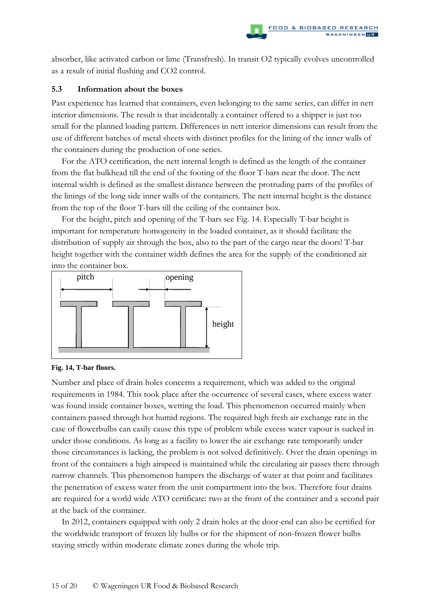absorber, like activated carbon or lime (Transfresh). In transit O2 typically evolves uncontrolled as a result of initial flushing and CO2 control.

#### **5.3 Information about the boxes**

Past experience has learned that containers, even belonging to the same series, can differ in nett interior dimensions. The result is that incidentally a container offered to a shipper is just too small for the planned loading pattern. Differences in nett interior dimensions can result from the use of different batches of metal sheets with distinct profiles for the lining of the inner walls of the containers during the production of one series.

For the ATO certification, the nett internal length is defined as the length of the container from the flat bulkhead till the end of the footing of the floor T-bars near the door. The nett internal width is defined as the smallest distance between the protruding parts of the profiles of the linings of the long side inner walls of the containers. The nett internal height is the distance from the top of the floor T-bars till the ceiling of the container box.

For the height, pitch and opening of the T-bars see Fig. 14. Especially T-bar height is important for temperature homogeneity in the loaded container, as it should facilitate the distribution of supply air through the box, also to the part of the cargo near the doors! T-bar height together with the container width defines the area for the supply of the conditioned air into the container box.



#### **Fig. 14, T-bar floors.**

Number and place of drain holes concerns a requirement, which was added to the original requirements in 1984. This took place after the occurrence of several cases, where excess water was found inside container boxes, wetting the load. This phenomenon occurred mainly when containers passed through hot humid regions. The required high fresh air exchange rate in the case of flowerbulbs can easily cause this type of problem while excess water vapour is sucked in under those conditions. As long as a facility to lower the air exchange rate temporarily under those circumstances is lacking, the problem is not solved definitively. Over the drain openings in front of the containers a high airspeed is maintained while the circulating air passes there through narrow channels. This phenomenon hampers the discharge of water at that point and facilitates the penetration of excess water from the unit compartment into the box. Therefore four drains are required for a world wide ATO certificate: two at the front of the container and a second pair at the back of the container.

In 2012, containers equipped with only 2 drain holes at the door-end can also be certified for the worldwide transport of frozen lily bulbs or for the shipment of non-frozen flower bulbs staying strictly within moderate climate zones during the whole trip.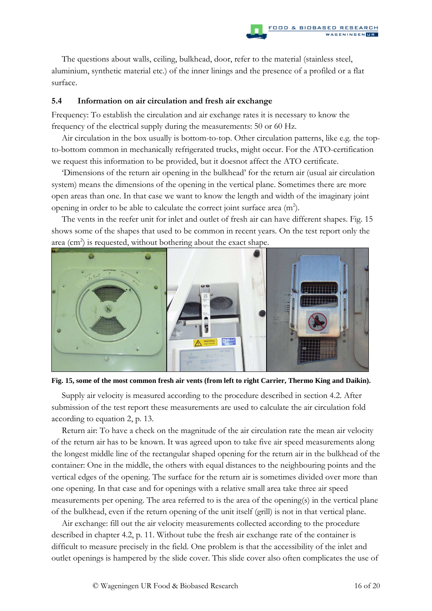The questions about walls, ceiling, bulkhead, door, refer to the material (stainless steel, aluminium, synthetic material etc.) of the inner linings and the presence of a profiled or a flat surface.

#### **5.4 Information on air circulation and fresh air exchange**

Frequency: To establish the circulation and air exchange rates it is necessary to know the frequency of the electrical supply during the measurements: 50 or 60 Hz.

Air circulation in the box usually is bottom-to-top. Other circulation patterns, like e.g. the topto-bottom common in mechanically refrigerated trucks, might occur. For the ATO-certification we request this information to be provided, but it doesnot affect the ATO certificate.

'Dimensions of the return air opening in the bulkhead' for the return air (usual air circulation system) means the dimensions of the opening in the vertical plane. Sometimes there are more open areas than one. In that case we want to know the length and width of the imaginary joint opening in order to be able to calculate the correct joint surface area  $(m<sup>2</sup>)$ .

The vents in the reefer unit for inlet and outlet of fresh air can have different shapes. Fig. 15 shows some of the shapes that used to be common in recent years. On the test report only the area (cm<sup>2</sup>) is requested, without bothering about the exact shape.





Supply air velocity is measured according to the procedure described in section 4.2. After submission of the test report these measurements are used to calculate the air circulation fold according to equation 2, p. 13.

Return air: To have a check on the magnitude of the air circulation rate the mean air velocity of the return air has to be known. It was agreed upon to take five air speed measurements along the longest middle line of the rectangular shaped opening for the return air in the bulkhead of the container: One in the middle, the others with equal distances to the neighbouring points and the vertical edges of the opening. The surface for the return air is sometimes divided over more than one opening. In that case and for openings with a relative small area take three air speed measurements per opening. The area referred to is the area of the opening(s) in the vertical plane of the bulkhead, even if the return opening of the unit itself (grill) is not in that vertical plane.

Air exchange: fill out the air velocity measurements collected according to the procedure described in chapter 4.2, p. 11. Without tube the fresh air exchange rate of the container is difficult to measure precisely in the field. One problem is that the accessibility of the inlet and outlet openings is hampered by the slide cover. This slide cover also often complicates the use of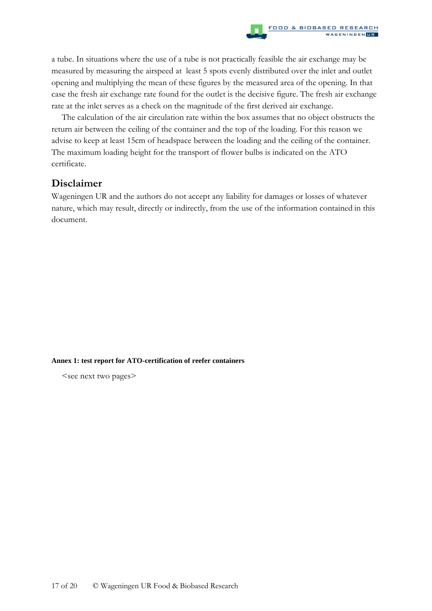a tube. In situations where the use of a tube is not practically feasible the air exchange may be measured by measuring the airspeed at least 5 spots evenly distributed over the inlet and outlet opening and multiplying the mean of these figures by the measured area of the opening. In that case the fresh air exchange rate found for the outlet is the decisive figure. The fresh air exchange rate at the inlet serves as a check on the magnitude of the first derived air exchange.

The calculation of the air circulation rate within the box assumes that no object obstructs the return air between the ceiling of the container and the top of the loading. For this reason we advise to keep at least 15cm of headspace between the loading and the ceiling of the container. The maximum loading height for the transport of flower bulbs is indicated on the ATO certificate.

## **Disclaimer**

Wageningen UR and the authors do not accept any liability for damages or losses of whatever nature, which may result, directly or indirectly, from the use of the information contained in this document.

#### **Annex 1: test report for ATO-certification of reefer containers**

<see next two pages>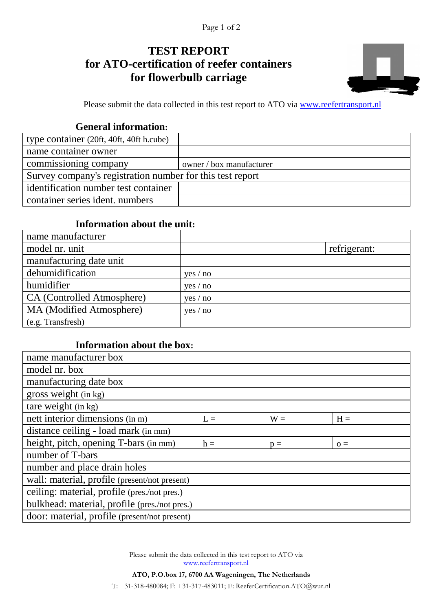# **TEST REPORT for ATO-certification of reefer containers for flowerbulb carriage**



Please submit the data collected in this test report to ATO via www.reefertransport.nl

## **General information:**

| type container (20ft, 40ft, 40ft h.cube)                  |                          |
|-----------------------------------------------------------|--------------------------|
| name container owner                                      |                          |
| commissioning company                                     | owner / box manufacturer |
| Survey company's registration number for this test report |                          |
| identification number test container                      |                          |
| container series ident. numbers                           |                          |

## **Information about the unit:**

| name manufacturer          |          |              |
|----------------------------|----------|--------------|
| model nr. unit             |          | refrigerant: |
| manufacturing date unit    |          |              |
| dehumidification           | yes / no |              |
| humidifier                 | yes / no |              |
| CA (Controlled Atmosphere) | yes / no |              |
| MA (Modified Atmosphere)   | yes / no |              |
| (e.g. Transfresh)          |          |              |

## **Information about the box:**

| name manufacturer box                         |       |       |       |
|-----------------------------------------------|-------|-------|-------|
| model nr. box                                 |       |       |       |
| manufacturing date box                        |       |       |       |
| gross weight (in kg)                          |       |       |       |
| tare weight (in kg)                           |       |       |       |
| nett interior dimensions (in m)               | $L =$ | $W =$ | $H =$ |
| distance ceiling - load mark (in mm)          |       |       |       |
| height, pitch, opening T-bars (in mm)         | $h =$ | $p =$ | $Q =$ |
| number of T-bars                              |       |       |       |
| number and place drain holes                  |       |       |       |
| wall: material, profile (present/not present) |       |       |       |
| ceiling: material, profile (pres./not pres.)  |       |       |       |
| bulkhead: material, profile (pres./not pres.) |       |       |       |
| door: material, profile (present/not present) |       |       |       |

Please submit the data collected in this test report to ATO via www.reefertransport.nl

**ATO, P.O.box 17, 6700 AA Wageningen, The Netherlands** T: +31-318-480084; F: +31-317-483011; E: ReeferCertification.ATO@wur.nl